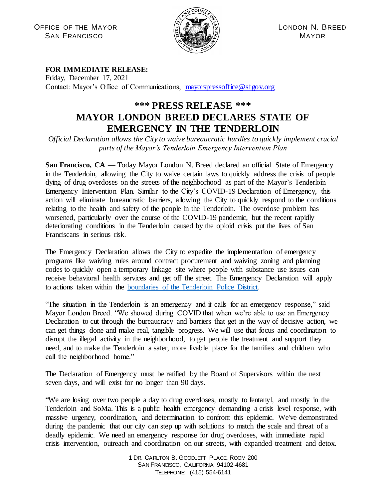OFFICE OF THE MAYOR  $\mathbb{E}[\mathbb{Z}(\mathbb{Z}^{\mathbb{Z}^{\mathbb{Z}^{\mathbb{Z}}}_{\mathbb{Z}}})]$  LONDON N. BREED  $S$ AN FRANCISCO  $\mathbb{E}$   $\mathbb{E}$   $\mathbb{E}$   $\mathbb{E}$   $\mathbb{E}$   $\mathbb{E}$   $\mathbb{E}$   $\mathbb{E}$   $\mathbb{E}$   $\mathbb{E}$   $\mathbb{E}$   $\mathbb{E}$   $\mathbb{E}$   $\mathbb{E}$   $\mathbb{E}$   $\mathbb{E}$   $\mathbb{E}$   $\mathbb{E}$   $\mathbb{E}$   $\mathbb{E}$   $\mathbb{E}$   $\mathbb{E}$   $\mathbb{E}$ 



## **FOR IMMEDIATE RELEASE:**

Friday, December 17, 2021 Contact: Mayor's Office of Communications, [mayorspressoffice@sfgov.org](mailto:mayorspressoffice@sfgov.org)

## **\*\*\* PRESS RELEASE \*\*\* MAYOR LONDON BREED DECLARES STATE OF EMERGENCY IN THE TENDERLOIN**

*Official Declaration allows the City to waive bureaucratic hurdles to quickly implement crucial parts of the Mayor's Tenderloin Emergency Intervention Plan*

San Francisco, CA — Today Mayor London N. Breed declared an official State of Emergency in the Tenderloin, allowing the City to waive certain laws to quickly address the crisis of people dying of drug overdoses on the streets of the neighborhood as part of the Mayor's Tenderloin Emergency Intervention Plan. Similar to the City's COVID-19 Declaration of Emergency, this action will eliminate bureaucratic barriers, allowing the City to quickly respond to the conditions relating to the health and safety of the people in the Tenderloin. The overdose problem has worsened, particularly over the course of the COVID-19 pandemic, but the recent rapidly deteriorating conditions in the Tenderloin caused by the opioid crisis put the lives of San Franciscans in serious risk.

The Emergency Declaration allows the City to expedite the implementation of emergency programs like waiving rules around contract procurement and waiving zoning and planning codes to quickly open a temporary linkage site where people with substance use issues can receive behavioral health services and get off the street. The Emergency Declaration will apply to actions taken within the [boundaries of the Tenderloin Police District.](https://sfgov.org/policecommission/sites/default/files/Citywide_District_Map.pdf)

"The situation in the Tenderloin is an emergency and it calls for an emergency response," said Mayor London Breed. "We showed during COVID that when we're able to use an Emergency Declaration to cut through the bureaucracy and barriers that get in the way of decisive action, we can get things done and make real, tangible progress. We will use that focus and coordination to disrupt the illegal activity in the neighborhood, to get people the treatment and support they need, and to make the Tenderloin a safer, more livable place for the families and children who call the neighborhood home."

The Declaration of Emergency must be ratified by the Board of Supervisors within the next seven days, and will exist for no longer than 90 days.

"We are losing over two people a day to drug overdoses, mostly to fentanyl, and mostly in the Tenderloin and SoMa. This is a public health emergency demanding a crisis level response, with massive urgency, coordination, and determination to confront this epidemic. We've demonstrated during the pandemic that our city can step up with solutions to match the scale and threat of a deadly epidemic. We need an emergency response for drug overdoses, with immediate rapid crisis intervention, outreach and coordination on our streets, with expanded treatment and detox.

> 1 DR. CARLTON B. GOODLETT PLACE, ROOM 200 SAN FRANCISCO, CALIFORNIA 94102-4681 TELEPHONE: (415) 554-6141